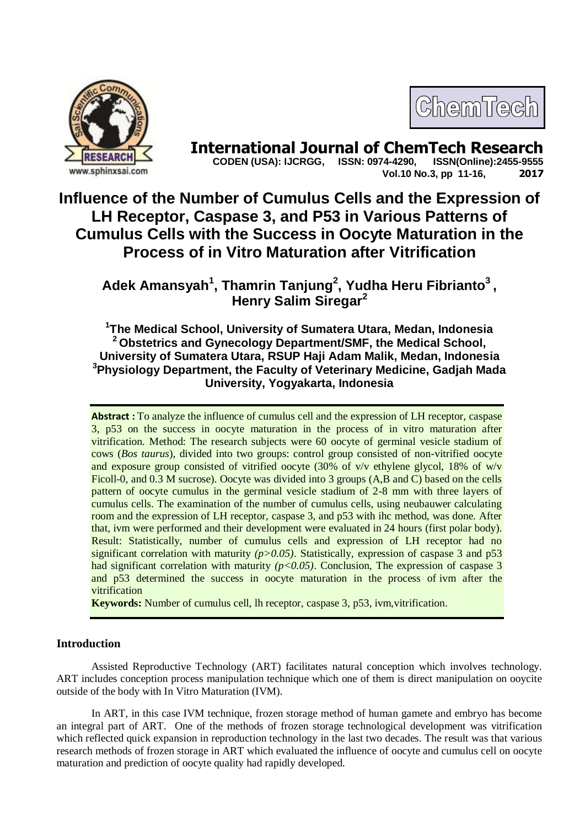



**International Journal of ChemTech Research CODEN (USA): IJCRGG, ISSN: 0974-4290, ISSN(Online):2455-9555 Vol.10 No.3, pp 11-16, 2017**

# **Influence of the Number of Cumulus Cells and the Expression of LH Receptor, Caspase 3, and P53 in Various Patterns of Cumulus Cells with the Success in Oocyte Maturation in the Process of in Vitro Maturation after Vitrification**

**Adek Amansyah<sup>1</sup> , Thamrin Tanjung<sup>2</sup> , Yudha Heru Fibrianto<sup>3</sup> , Henry Salim Siregar<sup>2</sup>**

**1 The Medical School, University of Sumatera Utara, Medan, Indonesia <sup>2</sup> Obstetrics and Gynecology Department/SMF, the Medical School, University of Sumatera Utara, RSUP Haji Adam Malik, Medan, Indonesia <sup>3</sup>Physiology Department, the Faculty of Veterinary Medicine, Gadjah Mada University, Yogyakarta, Indonesia**

**Abstract :** To analyze the influence of cumulus cell and the expression of LH receptor, caspase 3, p53 on the success in oocyte maturation in the process of in vitro maturation after vitrification. Method: The research subjects were 60 oocyte of germinal vesicle stadium of cows (*Bos taurus*), divided into two groups: control group consisted of non-vitrified oocyte and exposure group consisted of vitrified oocyte (30% of  $v/v$  ethylene glycol, 18% of  $w/v$ Ficoll-0, and 0.3 M sucrose). Oocyte was divided into 3 groups (A,B and C) based on the cells pattern of oocyte cumulus in the germinal vesicle stadium of 2-8 mm with three layers of cumulus cells. The examination of the number of cumulus cells, using neubauwer calculating room and the expression of LH receptor, caspase 3, and p53 with ihc method, was done. After that, ivm were performed and their development were evaluated in 24 hours (first polar body). Result: Statistically, number of cumulus cells and expression of LH receptor had no significant correlation with maturity  $(p>0.05)$ . Statistically, expression of caspase 3 and p53 had significant correlation with maturity ( $p < 0.05$ ). Conclusion, The expression of caspase 3 and p53 determined the success in oocyte maturation in the process of ivm after the vitrification

**Keywords:** Number of cumulus cell, lh receptor, caspase 3, p53, ivm,vitrification.

# **Introduction**

Assisted Reproductive Technology (ART) facilitates natural conception which involves technology. ART includes conception process manipulation technique which one of them is direct manipulation on ooycite outside of the body with In Vitro Maturation (IVM).

In ART, in this case IVM technique, frozen storage method of human gamete and embryo has become an integral part of ART. One of the methods of frozen storage technological development was vitrification which reflected quick expansion in reproduction technology in the last two decades. The result was that various research methods of frozen storage in ART which evaluated the influence of oocyte and cumulus cell on oocyte maturation and prediction of oocyte quality had rapidly developed.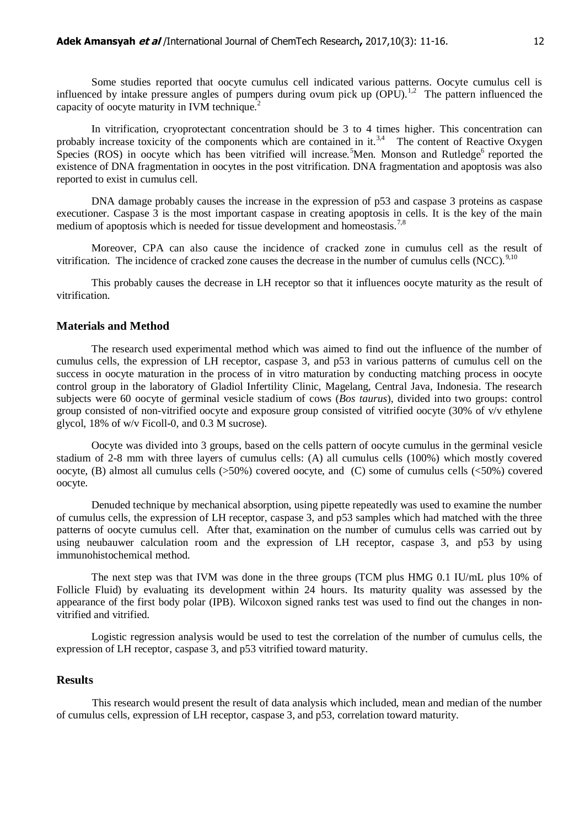Some studies reported that oocyte cumulus cell indicated various patterns. Oocyte cumulus cell is influenced by intake pressure angles of pumpers during ovum pick up  $(OPU)^{1,2}$ . The pattern influenced the capacity of oocyte maturity in IVM technique.<sup>2</sup>

In vitrification, cryoprotectant concentration should be 3 to 4 times higher. This concentration can probably increase toxicity of the components which are contained in it.<sup>3,4</sup> The content of Reactive Oxygen Species (ROS) in oocyte which has been vitrified will increase.<sup>5</sup>Men. Monson and Rutledge<sup>6</sup> reported the existence of DNA fragmentation in oocytes in the post vitrification. DNA fragmentation and apoptosis was also reported to exist in cumulus cell.

DNA damage probably causes the increase in the expression of p53 and caspase 3 proteins as caspase executioner. Caspase 3 is the most important caspase in creating apoptosis in cells. It is the key of the main medium of apoptosis which is needed for tissue development and homeostasis.<sup>7,8</sup>

Moreover, CPA can also cause the incidence of cracked zone in cumulus cell as the result of vitrification. The incidence of cracked zone causes the decrease in the number of cumulus cells  $(NCC)$ <sup>9,10</sup>

This probably causes the decrease in LH receptor so that it influences oocyte maturity as the result of vitrification.

#### **Materials and Method**

The research used experimental method which was aimed to find out the influence of the number of cumulus cells, the expression of LH receptor, caspase 3, and p53 in various patterns of cumulus cell on the success in oocyte maturation in the process of in vitro maturation by conducting matching process in oocyte control group in the laboratory of Gladiol Infertility Clinic, Magelang, Central Java, Indonesia. The research subjects were 60 oocyte of germinal vesicle stadium of cows (*Bos taurus*), divided into two groups: control group consisted of non-vitrified oocyte and exposure group consisted of vitrified oocyte (30% of v/v ethylene glycol, 18% of w/v Ficoll-0, and 0.3 M sucrose).

Oocyte was divided into 3 groups, based on the cells pattern of oocyte cumulus in the germinal vesicle stadium of 2-8 mm with three layers of cumulus cells: (A) all cumulus cells (100%) which mostly covered oocyte, (B) almost all cumulus cells (>50%) covered oocyte, and (C) some of cumulus cells (<50%) covered oocyte.

Denuded technique by mechanical absorption, using pipette repeatedly was used to examine the number of cumulus cells, the expression of LH receptor, caspase 3, and p53 samples which had matched with the three patterns of oocyte cumulus cell. After that, examination on the number of cumulus cells was carried out by using neubauwer calculation room and the expression of LH receptor, caspase 3, and p53 by using immunohistochemical method.

The next step was that IVM was done in the three groups (TCM plus HMG 0.1 IU/mL plus 10% of Follicle Fluid) by evaluating its development within 24 hours. Its maturity quality was assessed by the appearance of the first body polar (IPB). Wilcoxon signed ranks test was used to find out the changes in nonvitrified and vitrified.

Logistic regression analysis would be used to test the correlation of the number of cumulus cells, the expression of LH receptor, caspase 3, and p53 vitrified toward maturity.

#### **Results**

This research would present the result of data analysis which included, mean and median of the number of cumulus cells, expression of LH receptor, caspase 3, and p53, correlation toward maturity.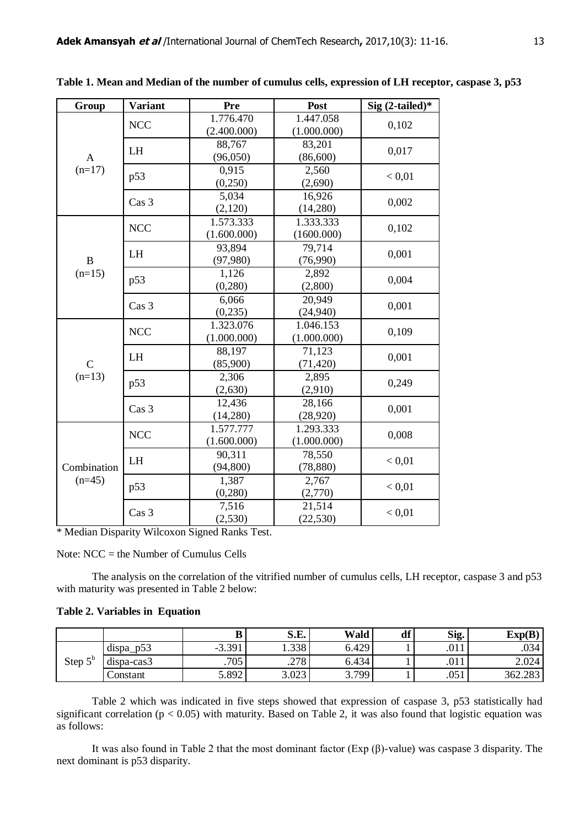| Group                    | <b>Variant</b>   | Pre                      | Post                     | Sig $(2$ -tailed)* |
|--------------------------|------------------|--------------------------|--------------------------|--------------------|
| $\mathbf{A}$<br>$(n=17)$ | <b>NCC</b>       | 1.776.470<br>(2.400.000) | 1.447.058<br>(1.000.000) | 0,102              |
|                          | LH               | 88,767<br>(96,050)       | 83,201<br>(86,600)       | 0,017              |
|                          | p53              | 0.915<br>(0, 250)        | 2,560<br>(2,690)         | < 0.01             |
|                          | Cas 3            | 5,034<br>(2,120)         | 16,926<br>(14,280)       | 0,002              |
| $\, {\bf B}$<br>$(n=15)$ | <b>NCC</b>       | 1.573.333<br>(1.600.000) | 1.333.333<br>(1600.000)  | 0,102              |
|                          | LH               | 93,894<br>(97, 980)      | 79,714<br>(76,990)       | 0,001              |
|                          | p53              | 1,126<br>(0, 280)        | 2,892<br>(2,800)         | 0,004              |
|                          | Cas <sub>3</sub> | 6,066<br>(0, 235)        | 20,949<br>(24, 940)      | 0,001              |
| $\mathsf{C}$<br>$(n=13)$ | <b>NCC</b>       | 1.323.076<br>(1.000.000) | 1.046.153<br>(1.000.000) | 0,109              |
|                          | LH               | 88,197<br>(85,900)       | 71,123<br>(71, 420)      | 0,001              |
|                          | p53              | 2,306<br>(2,630)         | 2,895<br>(2,910)         | 0,249              |
|                          | Cas <sub>3</sub> | 12,436<br>(14,280)       | 28,166<br>(28, 920)      | 0,001              |
| Combination<br>$(n=45)$  | <b>NCC</b>       | 1.577.777<br>(1.600.000) | 1.293.333<br>(1.000.000) | 0,008              |
|                          | LH               | 90,311<br>(94, 800)      | 78,550<br>(78, 880)      | < 0.01             |
|                          | p53              | 1,387<br>(0, 280)        | 2,767<br>(2,770)         | < 0.01             |
|                          | Cas <sub>3</sub> | 7,516<br>(2, 530)        | 21,514<br>(22, 530)      | < 0.01             |

**Table 1. Mean and Median of the number of cumulus cells, expression of LH receptor, caspase 3, p53**

\* Median Disparity Wilcoxon Signed Ranks Test.

Note: NCC = the Number of Cumulus Cells

The analysis on the correlation of the vitrified number of cumulus cells, LH receptor, caspase 3 and p53 with maturity was presented in Table 2 below:

|  | Table 2. Variables in Equation |  |
|--|--------------------------------|--|
|--|--------------------------------|--|

|             |              | B                          | S.E.  | Wald  | df' | Sig.                  | Exp(B)  |
|-------------|--------------|----------------------------|-------|-------|-----|-----------------------|---------|
| гb<br>Step: | p53<br>dispa | 301<br>- 7<br>J.J <i>.</i> | 1.338 | 6.429 |     | $^{\wedge}$ 11<br>.UI | .034    |
|             | dispa-cas3   | .705                       | .278  | 6.434 |     | ∩11<br>.UI            | 2.024   |
|             | Constant     | 5.892                      | 3.023 | 3.799 |     | .051                  | 362.283 |

Table 2 which was indicated in five steps showed that expression of caspase 3, p53 statistically had significant correlation ( $p < 0.05$ ) with maturity. Based on Table 2, it was also found that logistic equation was as follows:

It was also found in Table 2 that the most dominant factor (Exp (β)-value) was caspase 3 disparity. The next dominant is p53 disparity.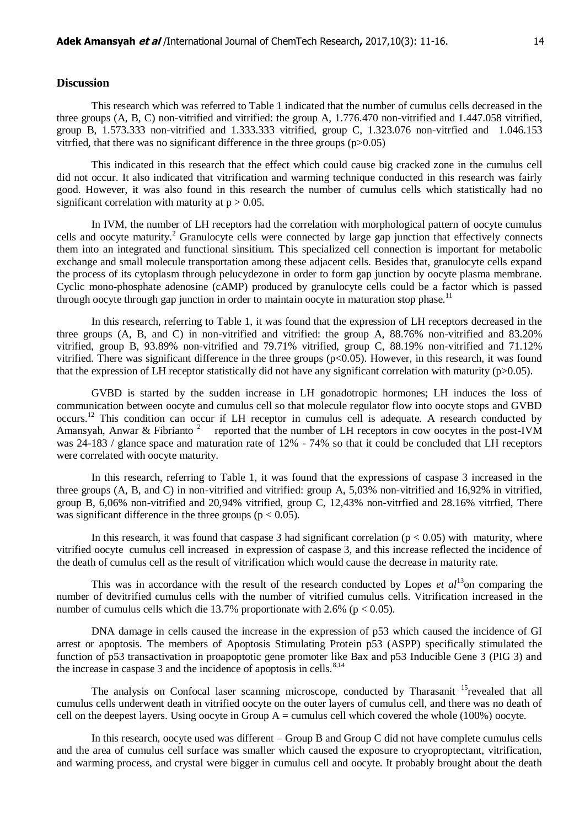# **Discussion**

This research which was referred to Table 1 indicated that the number of cumulus cells decreased in the three groups (A, B, C) non-vitrified and vitrified: the group A, 1.776.470 non-vitrified and 1.447.058 vitrified, group B, 1.573.333 non-vitrified and 1.333.333 vitrified, group C, 1.323.076 non-vitrfied and 1.046.153 vitrified, that there was no significant difference in the three groups  $(p>0.05)$ 

This indicated in this research that the effect which could cause big cracked zone in the cumulus cell did not occur. It also indicated that vitrification and warming technique conducted in this research was fairly good. However, it was also found in this research the number of cumulus cells which statistically had no significant correlation with maturity at  $p > 0.05$ .

In IVM, the number of LH receptors had the correlation with morphological pattern of oocyte cumulus cells and oocyte maturity.<sup>2</sup> Granulocyte cells were connected by large gap junction that effectively connects them into an integrated and functional sinsitium. This specialized cell connection is important for metabolic exchange and small molecule transportation among these adjacent cells. Besides that, granulocyte cells expand the process of its cytoplasm through pelucydezone in order to form gap junction by oocyte plasma membrane. Cyclic mono-phosphate adenosine (cAMP) produced by granulocyte cells could be a factor which is passed through oocyte through gap junction in order to maintain oocyte in maturation stop phase.<sup>11</sup>

In this research, referring to Table 1, it was found that the expression of LH receptors decreased in the three groups (A, B, and C) in non-vitrified and vitrified: the group A, 88.76% non-vitrified and 83.20% vitrified, group B, 93.89% non-vitrified and 79.71% vitrified, group C, 88.19% non-vitrified and 71.12% vitrified. There was significant difference in the three groups (p<0.05). However, in this research, it was found that the expression of LH receptor statistically did not have any significant correlation with maturity ( $p>0.05$ ).

GVBD is started by the sudden increase in LH gonadotropic hormones; LH induces the loss of communication between oocyte and cumulus cell so that molecule regulator flow into oocyte stops and GVBD occurs.<sup>12</sup> This condition can occur if LH receptor in cumulus cell is adequate. A research conducted by Amansyah, Anwar & Fibrianto<sup>2</sup> reported that the number of LH receptors in cow oocytes in the post-IVM was 24-183 / glance space and maturation rate of 12% - 74% so that it could be concluded that LH receptors were correlated with oocyte maturity.

In this research, referring to Table 1, it was found that the expressions of caspase 3 increased in the three groups (A, B, and C) in non-vitrified and vitrified: group A, 5,03% non-vitrified and 16,92% in vitrified, group B, 6,06% non-vitrified and 20,94% vitrified, group C, 12,43% non-vitrfied and 28.16% vitrfied, There was significant difference in the three groups ( $p < 0.05$ ).

In this research, it was found that caspase 3 had significant correlation ( $p < 0.05$ ) with maturity, where vitrified oocyte cumulus cell increased in expression of caspase 3, and this increase reflected the incidence of the death of cumulus cell as the result of vitrification which would cause the decrease in maturity rate.

This was in accordance with the result of the research conducted by Lopes *et al*<sup>13</sup>on comparing the number of devitrified cumulus cells with the number of vitrified cumulus cells. Vitrification increased in the number of cumulus cells which die 13.7% proportionate with 2.6% ( $p < 0.05$ ).

DNA damage in cells caused the increase in the expression of p53 which caused the incidence of GI arrest or apoptosis. The members of Apoptosis Stimulating Protein p53 (ASPP) specifically stimulated the function of p53 transactivation in proapoptotic gene promoter like Bax and p53 Inducible Gene 3 (PIG 3) and the increase in caspase 3 and the incidence of apoptosis in cells. $8,14$ 

The analysis on Confocal laser scanning microscope, conducted by Tharasanit <sup>15</sup>revealed that all cumulus cells underwent death in vitrified oocyte on the outer layers of cumulus cell, and there was no death of cell on the deepest layers. Using oocyte in Group  $A =$  cumulus cell which covered the whole (100%) oocyte.

In this research, oocyte used was different – Group B and Group C did not have complete cumulus cells and the area of cumulus cell surface was smaller which caused the exposure to cryoproptectant, vitrification, and warming process, and crystal were bigger in cumulus cell and oocyte. It probably brought about the death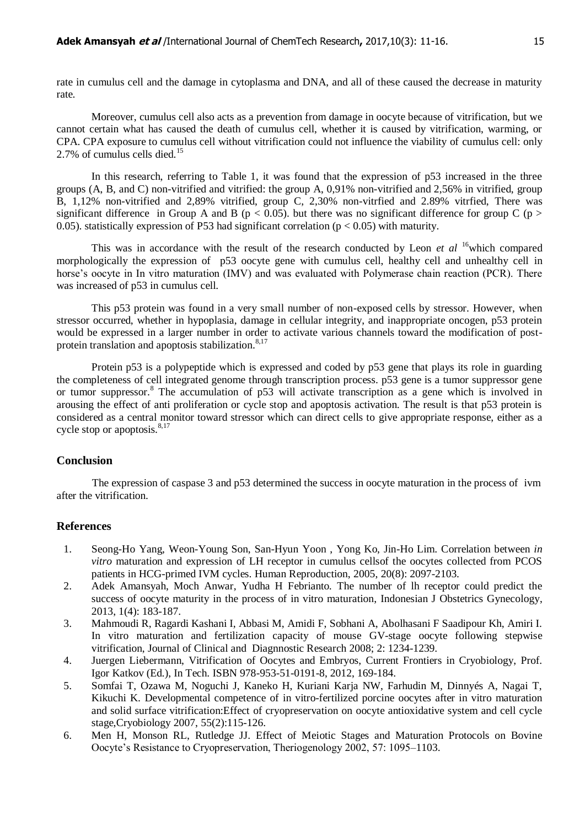rate in cumulus cell and the damage in cytoplasma and DNA, and all of these caused the decrease in maturity rate.

Moreover, cumulus cell also acts as a prevention from damage in oocyte because of vitrification, but we cannot certain what has caused the death of cumulus cell, whether it is caused by vitrification, warming, or CPA. CPA exposure to cumulus cell without vitrification could not influence the viability of cumulus cell: only 2.7% of cumulus cells died.<sup>15</sup>

In this research, referring to Table 1, it was found that the expression of p53 increased in the three groups (A, B, and C) non-vitrified and vitrified: the group A, 0,91% non-vitrified and 2,56% in vitrified, group B, 1,12% non-vitrified and 2,89% vitrified, group C, 2,30% non-vitrfied and 2.89% vitrfied, There was significant difference in Group A and B ( $p < 0.05$ ). but there was no significant difference for group C ( $p >$ 0.05). statistically expression of P53 had significant correlation ( $p < 0.05$ ) with maturity.

This was in accordance with the result of the research conducted by Leon *et al* <sup>16</sup>which compared morphologically the expression of p53 oocyte gene with cumulus cell, healthy cell and unhealthy cell in horse's oocyte in In vitro maturation (IMV) and was evaluated with Polymerase chain reaction (PCR). There was increased of p53 in cumulus cell.

This p53 protein was found in a very small number of non-exposed cells by stressor. However, when stressor occurred, whether in hypoplasia, damage in cellular integrity, and inappropriate oncogen, p53 protein would be expressed in a larger number in order to activate various channels toward the modification of postprotein translation and apoptosis stabilization.<sup>8,17</sup>

Protein p53 is a polypeptide which is expressed and coded by p53 gene that plays its role in guarding the completeness of cell integrated genome through transcription process. p53 gene is a tumor suppressor gene or tumor suppressor.<sup>8</sup> The accumulation of p53 will activate transcription as a gene which is involved in arousing the effect of anti proliferation or cycle stop and apoptosis activation. The result is that p53 protein is considered as a central monitor toward stressor which can direct cells to give appropriate response, either as a cycle stop or apoptosis. $8,17$ 

# **Conclusion**

The expression of caspase 3 and p53 determined the success in oocyte maturation in the process of ivm after the vitrification.

### **References**

- 1. Seong-Ho Yang, Weon-Young Son, San-Hyun Yoon , Yong Ko, Jin-Ho Lim. Correlation between *in vitro* maturation and expression of LH receptor in cumulus cellsof the oocytes collected from PCOS patients in HCG-primed IVM cycles. Human Reproduction, 2005, 20(8): 2097-2103.
- 2. Adek Amansyah, Moch Anwar, Yudha H Febrianto. The number of lh receptor could predict the success of oocyte maturity in the process of in vitro maturation, Indonesian J Obstetrics Gynecology, 2013, 1(4): 183-187.
- 3. Mahmoudi R, Ragardi Kashani I, Abbasi M, Amidi F, Sobhani A, Abolhasani F Saadipour Kh, Amiri I. In vitro maturation and fertilization capacity of mouse GV-stage oocyte following stepwise vitrification, Journal of Clinical and Diagnnostic Research 2008; 2: 1234-1239.
- 4. Juergen Liebermann, Vitrification of Oocytes and Embryos, Current Frontiers in Cryobiology, Prof. Igor Katkov (Ed.), In Tech. ISBN 978-953-51-0191-8, 2012, 169-184.
- 5. Somfai T, Ozawa M, Noguchi J, Kaneko H, Kuriani Karja NW, Farhudin M, Dinnyés A, Nagai T, Kikuchi K. Developmental competence of in vitro-fertilized porcine oocytes after in vitro maturation and solid surface vitrification:Effect of cryopreservation on oocyte antioxidative system and cell cycle stage,Cryobiology 2007, 55(2):115-126.
- 6. Men H, Monson RL, Rutledge JJ. Effect of Meiotic Stages and Maturation Protocols on Bovine Oocyte's Resistance to Cryopreservation, Theriogenology 2002, 57: 1095–1103.